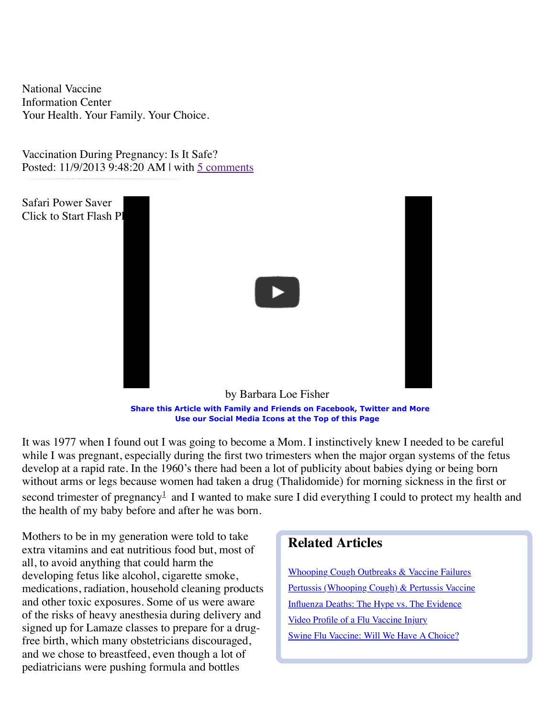[National Va](http://www.nvic.org/)ccine Information Center Your Health. Your Family. Your Choice.

Vaccination During Pregnancy: Is It Safe? Posted: 11/9/2013 9:48:20 AM | with [5 comments](http://www.nvic.org/NVIC-Vaccine-News/November-2013/Vaccination-During-Pregnancy--Is-It-Safe-.aspx)



**Share this Article with Family and Friends on Facebook, Twitter and More Use our Social Media Icons at the Top of this Page**

It was 1977 when I found out I was going to become a Mom. I instinctively knew I needed to be careful while I was pregnant, especially during the first two trimesters when the major organ systems of the fetus develop at a rapid rate. In the 1960's there had been a lot of publicity about babies dying or being born without arms or legs because women had taken a drug (Thalidomide) for morning sickness in the first or second trimester of pregnancy<sup>[1](http://www.nvic.org/NVIC-Vaccine-News/November-2013/Vaccination-During-Pregnancy--Is-It-Safe-.aspx#_edn1)</sup> and I wanted to make sure I did everything I could to protect my health and the health of my baby before and after he was born.

Mothers to be in my generation were told to take extra vitamins and eat nutritious food but, most of all, to avoid anything that could harm the developing fetus like alcohol, cigarette smoke, medications, radiation, household cleaning products and other toxic exposures. Some of us were aware of the risks of heavy anesthesia during delivery and signed up for Lamaze classes to prepare for a drugfree birth, which many obstetricians discouraged, and we chose to breastfeed, even though a lot of pediatricians were pushing formula and bottles

# **Related Articles**

[Whooping Cough Outbreaks & Vaccine Failures](http://www.nvic.org/NVIC-Vaccine-News/July-2010/Whooping-Cough-Outbreaks-Vaccine-Failures.aspx) [Pertussis \(Whooping Cough\) & Pertussis Vaccine](http://www.nvic.org/Vaccines-and-Diseases/Whooping-Cough.aspx) [Influenza Deaths: The Hype vs. The Evidence](http://www.nvic.org/NVIC-Vaccine-News/October-2012/Influenza-Deaths--The-Hype-vs--The-Evidence.aspx) [Video Profile of a Flu Vaccine Injury](http://www.nvic.org/NVIC-Vaccine-News/October-2011-(1)/Video---Flu-Vaccine-Reaction-Leaves-Former-Nurse-a.aspx) [Swine Flu Vaccine: Will We Have A Choice?](http://www.nvic.org/NVIC-Vaccine-News/June-2009/Swine-Flu-Vaccine--Will-We-Have-A-Choice--by-Barba.aspx)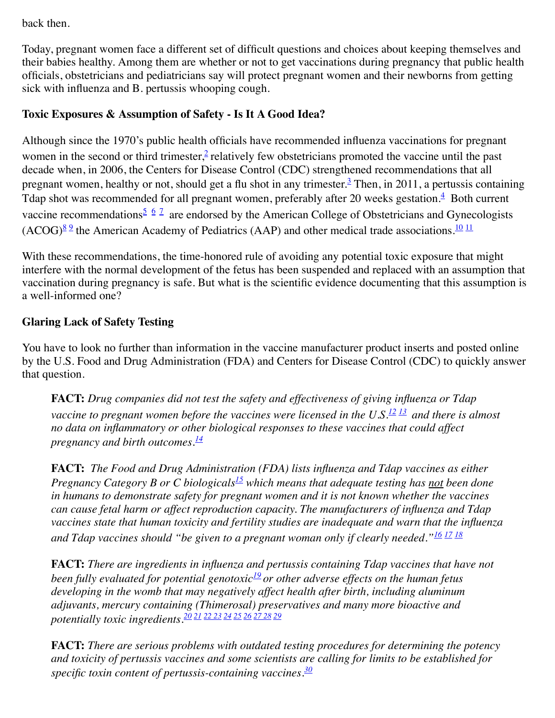back then.

Today, pregnant women face a different set of difficult questions and choices about keeping themselves and their babies healthy. Among them are whether or not to get vaccinations during pregnancy that public health officials, obstetricians and pediatricians say will protect pregnant women and their newborns from getting sick with influenza and B. pertussis whooping cough.

### **Toxic Exposures & Assumption of Safety - Is It A Good Idea?**

Although since the 1970's public health officials have recommended influenza vaccinations for pregnant women in the second or third trimester, $\frac{2}{3}$  $\frac{2}{3}$  $\frac{2}{3}$  relatively few obstetricians promoted the vaccine until the past decade when, in 2006, the Centers for Disease Control (CDC) strengthened recommendations that all pregnant women, healthy or not, should get a flu shot in any trimester.<sup>[3](http://www.nvic.org/NVIC-Vaccine-News/November-2013/Vaccination-During-Pregnancy--Is-It-Safe-.aspx#_edn3)</sup> Then, in 2011, a pertussis containing Tdap shot was recommended for all pregnant women, preferably after 20 weeks gestation. $\frac{4}{7}$  $\frac{4}{7}$  $\frac{4}{7}$  Both current vaccine recommendations<sup>[5](http://www.nvic.org/NVIC-Vaccine-News/November-2013/Vaccination-During-Pregnancy--Is-It-Safe-.aspx#_edn5) [6](http://www.nvic.org/NVIC-Vaccine-News/November-2013/Vaccination-During-Pregnancy--Is-It-Safe-.aspx#_edn6) [7](http://www.nvic.org/NVIC-Vaccine-News/November-2013/Vaccination-During-Pregnancy--Is-It-Safe-.aspx#_edn7)</sup> are endorsed by the American College of Obstetricians and Gynecologists  $(ACOG)^{89}$  $(ACOG)^{89}$  $(ACOG)^{89}$  the American Academy of Pediatrics (AAP) and other medical trade associations.<sup>[10](http://www.nvic.org/NVIC-Vaccine-News/November-2013/Vaccination-During-Pregnancy--Is-It-Safe-.aspx#_edn10)</sup> <sup>[11](http://www.nvic.org/NVIC-Vaccine-News/November-2013/Vaccination-During-Pregnancy--Is-It-Safe-.aspx#_edn11)</sup>

With these recommendations, the time-honored rule of avoiding any potential toxic exposure that might interfere with the normal development of the fetus has been suspended and replaced with an assumption that vaccination during pregnancy is safe. But what is the scientific evidence documenting that this assumption is a well-informed one?

#### **Glaring Lack of Safety Testing**

You have to look no further than information in the vaccine manufacturer product inserts and posted online by the U.S. Food and Drug Administration (FDA) and Centers for Disease Control (CDC) to quickly answer that question.

**FACT:** *Drug companies did not test the safety and effectiveness of giving influenza or Tdap vaccine to pregnant women before the vaccines were licensed in the U.S.[12](http://www.nvic.org/NVIC-Vaccine-News/November-2013/Vaccination-During-Pregnancy--Is-It-Safe-.aspx#_edn12) [13](http://www.nvic.org/NVIC-Vaccine-News/November-2013/Vaccination-During-Pregnancy--Is-It-Safe-.aspx#_edn13) and there is almost no data on inflammatory or other biological responses to these vaccines that could affect pregnancy and birth outcomes.[14](http://www.nvic.org/NVIC-Vaccine-News/November-2013/Vaccination-During-Pregnancy--Is-It-Safe-.aspx#_edn14)*

**FACT:** *The Food and Drug Administration (FDA) lists influenza and Tdap vaccines as either Pregnancy Category B or C biologicals[15](http://www.nvic.org/NVIC-Vaccine-News/November-2013/Vaccination-During-Pregnancy--Is-It-Safe-.aspx#_edn15) which means that adequate testing has not been done in humans to demonstrate safety for pregnant women and it is not known whether the vaccines can cause fetal harm or affect reproduction capacity. The manufacturers of influenza and Tdap vaccines state that human toxicity and fertility studies are inadequate and warn that the influenza and Tdap vaccines should "be given to a pregnant woman only if clearly needed."[16](http://www.nvic.org/NVIC-Vaccine-News/November-2013/Vaccination-During-Pregnancy--Is-It-Safe-.aspx#_edn16) [17](http://www.nvic.org/NVIC-Vaccine-News/November-2013/Vaccination-During-Pregnancy--Is-It-Safe-.aspx#_edn17) [18](http://www.nvic.org/NVIC-Vaccine-News/November-2013/Vaccination-During-Pregnancy--Is-It-Safe-.aspx#_edn18)*

**FACT:** *There are ingredients in influenza and pertussis containing Tdap vaccines that have not been fully evaluated for potential genotoxic[19](http://www.nvic.org/NVIC-Vaccine-News/November-2013/Vaccination-During-Pregnancy--Is-It-Safe-.aspx#_edn19) or other adverse effects on the human fetus developing in the womb that may negatively affect health after birth, including aluminum adjuvants, mercury containing (Thimerosal) preservatives and many more bioactive and potentially toxic ingredients.[20](http://www.nvic.org/NVIC-Vaccine-News/November-2013/Vaccination-During-Pregnancy--Is-It-Safe-.aspx#_edn20) [21](http://www.nvic.org/NVIC-Vaccine-News/November-2013/Vaccination-During-Pregnancy--Is-It-Safe-.aspx#_edn21) [22](http://www.nvic.org/NVIC-Vaccine-News/November-2013/Vaccination-During-Pregnancy--Is-It-Safe-.aspx#_edn22) [23](http://www.nvic.org/NVIC-Vaccine-News/November-2013/Vaccination-During-Pregnancy--Is-It-Safe-.aspx#_edn23) [24](http://www.nvic.org/NVIC-Vaccine-News/November-2013/Vaccination-During-Pregnancy--Is-It-Safe-.aspx#_edn24) [25](http://www.nvic.org/NVIC-Vaccine-News/November-2013/Vaccination-During-Pregnancy--Is-It-Safe-.aspx#_edn25) [26](http://www.nvic.org/NVIC-Vaccine-News/November-2013/Vaccination-During-Pregnancy--Is-It-Safe-.aspx#_edn26) [27](http://www.nvic.org/NVIC-Vaccine-News/November-2013/Vaccination-During-Pregnancy--Is-It-Safe-.aspx#_edn27) [28](http://www.nvic.org/NVIC-Vaccine-News/November-2013/Vaccination-During-Pregnancy--Is-It-Safe-.aspx#_edn28) [29](http://www.nvic.org/NVIC-Vaccine-News/November-2013/Vaccination-During-Pregnancy--Is-It-Safe-.aspx#_edn29)*

**FACT:** *There are serious problems with outdated testing procedures for determining the potency and toxicity of pertussis vaccines and some scientists are calling for limits to be established for specific toxin content of pertussis-containing vaccines*. *[30](http://www.nvic.org/NVIC-Vaccine-News/November-2013/Vaccination-During-Pregnancy--Is-It-Safe-.aspx#_edn30)*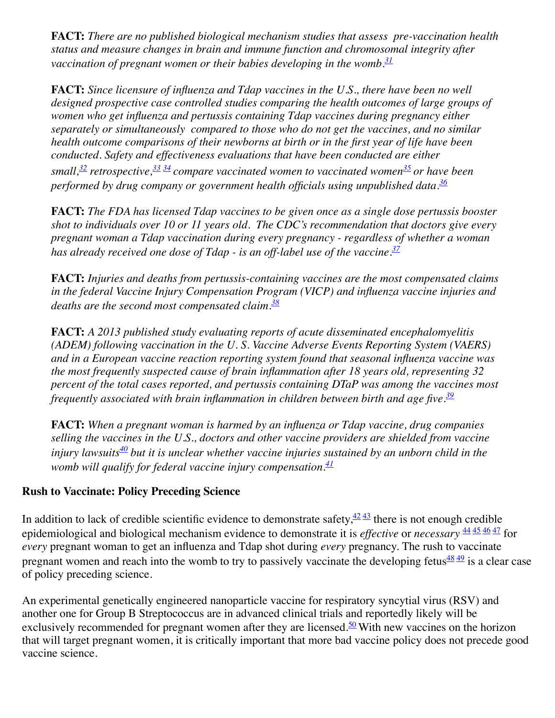**FACT:** *There are no published biological mechanism studies that assess pre-vaccination health status and measure changes in brain and immune function and chromosomal integrity after vaccination of pregnant women or their babies developing in the womb.[31](http://www.nvic.org/NVIC-Vaccine-News/November-2013/Vaccination-During-Pregnancy--Is-It-Safe-.aspx#_edn31)*

**FACT:** *Since licensure of influenza and Tdap vaccines in the U.S., there have been no well designed prospective case controlled studies comparing the health outcomes of large groups of women who get influenza and pertussis containing Tdap vaccines during pregnancy either separately or simultaneously compared to those who do not get the vaccines, and no similar health outcome comparisons of their newborns at birth or in the first year of life have been conducted. Safety and effectiveness evaluations that have been conducted are either small[,32](http://www.nvic.org/NVIC-Vaccine-News/November-2013/Vaccination-During-Pregnancy--Is-It-Safe-.aspx#_edn32) retrospective[,33](http://www.nvic.org/NVIC-Vaccine-News/November-2013/Vaccination-During-Pregnancy--Is-It-Safe-.aspx#_edn33) [34](http://www.nvic.org/NVIC-Vaccine-News/November-2013/Vaccination-During-Pregnancy--Is-It-Safe-.aspx#_edn34) compare vaccinated women to vaccinated women[35](http://www.nvic.org/NVIC-Vaccine-News/November-2013/Vaccination-During-Pregnancy--Is-It-Safe-.aspx#_edn35) or have been performed by drug company or government health officials using unpublished data.[36](http://www.nvic.org/NVIC-Vaccine-News/November-2013/Vaccination-During-Pregnancy--Is-It-Safe-.aspx#_edn36)*

**FACT:** *The FDA has licensed Tdap vaccines to be given once as a single dose pertussis booster shot to individuals over 10 or 11 years old. The CDC's recommendation that doctors give every pregnant woman a Tdap vaccination during every pregnancy - regardless of whether a woman has already received one dose of Tdap - is an off-label use of the vaccine.[37](http://www.nvic.org/NVIC-Vaccine-News/November-2013/Vaccination-During-Pregnancy--Is-It-Safe-.aspx#_edn37)*

**FACT:** *Injuries and deaths from pertussis-containing vaccines are the most compensated claims in the federal Vaccine Injury Compensation Program (VICP) and influenza vaccine injuries and deaths are the second most compensated claim.[38](http://www.nvic.org/NVIC-Vaccine-News/November-2013/Vaccination-During-Pregnancy--Is-It-Safe-.aspx#_edn38)*

**FACT:** *A 2013 published study evaluating reports of acute disseminated encephalomyelitis (ADEM) following vaccination in the U. S. Vaccine Adverse Events Reporting System (VAERS) and in a European vaccine reaction reporting system found that seasonal influenza vaccine was the most frequently suspected cause of brain inflammation after 18 years old, representing 32 percent of the total cases reported, and pertussis containing DTaP was among the vaccines most frequently associated with brain inflammation in children between birth and age five.[39](http://www.nvic.org/NVIC-Vaccine-News/November-2013/Vaccination-During-Pregnancy--Is-It-Safe-.aspx#_edn39)*

**FACT:** *When a pregnant woman is harmed by an influenza or Tdap vaccine, drug companies selling the vaccines in the U.S., doctors and other vaccine providers are shielded from vaccine injury lawsuits[40](http://www.nvic.org/NVIC-Vaccine-News/November-2013/Vaccination-During-Pregnancy--Is-It-Safe-.aspx#_edn40) but it is unclear whether vaccine injuries sustained by an unborn child in the womb will qualify for federal vaccine injury compensation.[41](http://www.nvic.org/NVIC-Vaccine-News/November-2013/Vaccination-During-Pregnancy--Is-It-Safe-.aspx#_edn41)*

#### **Rush to Vaccinate: Policy Preceding Science**

In addition to lack of credible scientific evidence to demonstrate safety,  $\frac{4243}{3}$  $\frac{4243}{3}$  $\frac{4243}{3}$  $\frac{4243}{3}$  there is not enough credible epidemiological and biological mechanism evidence to demonstrate it is *effective* or *necessary* [44](http://www.nvic.org/NVIC-Vaccine-News/November-2013/Vaccination-During-Pregnancy--Is-It-Safe-.aspx#_edn44) [45](http://www.nvic.org/NVIC-Vaccine-News/November-2013/Vaccination-During-Pregnancy--Is-It-Safe-.aspx#_edn45) [46](http://www.nvic.org/NVIC-Vaccine-News/November-2013/Vaccination-During-Pregnancy--Is-It-Safe-.aspx#_edn46) [47](http://www.nvic.org/NVIC-Vaccine-News/November-2013/Vaccination-During-Pregnancy--Is-It-Safe-.aspx#_edn47) for *every* pregnant woman to get an influenza and Tdap shot during *every* pregnancy. The rush to vaccinate pregnant women and reach into the womb to try to passively vaccinate the developing fetus $\frac{4849}{9}$  $\frac{4849}{9}$  $\frac{4849}{9}$  is a clear case of policy preceding science.

An experimental genetically engineered nanoparticle vaccine for respiratory syncytial virus (RSV) and another one for Group B Streptococcus are in advanced clinical trials and reportedly likely will be exclusively recommended for pregnant women after they are licensed.<sup>50</sup> With new vaccines on the horizon that will target pregnant women, it is critically important that more bad vaccine policy does not precede good vaccine science.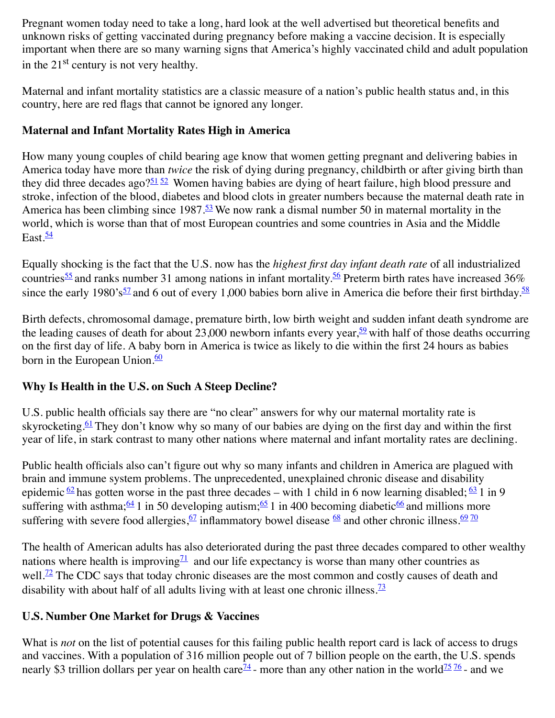Pregnant women today need to take a long, hard look at the well advertised but theoretical benefits and unknown risks of getting vaccinated during pregnancy before making a vaccine decision. It is especially important when there are so many warning signs that America's highly vaccinated child and adult population in the  $21<sup>st</sup>$  century is not very healthy.

Maternal and infant mortality statistics are a classic measure of a nation's public health status and, in this country, here are red flags that cannot be ignored any longer.

## **Maternal and Infant Mortality Rates High in America**

How many young couples of child bearing age know that women getting pregnant and delivering babies in America today have more than *twice* the risk of dying during pregnancy, childbirth or after giving birth than they did three decades ago? $51\overline{52}$  $51\overline{52}$  $51\overline{52}$  Women having babies are dying of heart failure, high blood pressure and stroke, infection of the blood, diabetes and blood clots in greater numbers because the maternal death rate in America has been climbing since  $1987 \cdot \frac{53}{52}$  We now rank a dismal number 50 in maternal mortality in the world, which is worse than that of most European countries and some countries in Asia and the Middle East. $\frac{54}{5}$  $\frac{54}{5}$  $\frac{54}{5}$ 

Equally shocking is the fact that the U.S. now has the *highest first day infant death rate* of all industrialized countries<sup>55</sup> and ranks number 31 among nations in infant mortality.<sup>56</sup> Preterm birth rates have increased 36% since the early 1980's<sup>[57](http://www.nvic.org/NVIC-Vaccine-News/November-2013/Vaccination-During-Pregnancy--Is-It-Safe-.aspx#_edn57)</sup> and 6 out of every 1,000 babies born alive in America die before their first birthday.<sup>[58](http://www.nvic.org/NVIC-Vaccine-News/November-2013/Vaccination-During-Pregnancy--Is-It-Safe-.aspx#_edn58)</sup>

Birth defects, chromosomal damage, premature birth, low birth weight and sudden infant death syndrome are the leading causes of death for about 23,000 newborn infants every year,  $\frac{59}{2}$  with half of those deaths occurring on the first day of life. A baby born in America is twice as likely to die within the first 24 hours as babies born in the European Union. $\frac{60}{60}$  $\frac{60}{60}$  $\frac{60}{60}$ 

## **Why Is Health in the U.S. on Such A Steep Decline?**

U.S. public health officials say there are "no clear" answers for why our maternal mortality rate is skyrocketing.<sup>61</sup> They don't know why so many of our babies are dying on the first day and within the first year of life, in stark contrast to many other nations where maternal and infant mortality rates are declining.

Public health officials also can't figure out why so many infants and children in America are plagued with brain and immune system problems. The unprecedented, unexplained chronic disease and disability epidemic  $\frac{62}{ }$  $\frac{62}{ }$  $\frac{62}{ }$  has gotten worse in the past three decades – with 1 child in 6 now learning disabled;  $\frac{63}{ }$  $\frac{63}{ }$  $\frac{63}{ }$  1 in 9 suffering with asthma;  $\frac{64}{1}$  in 50 developing autism;  $\frac{65}{1}$  $\frac{65}{1}$  $\frac{65}{1}$  in 400 becoming diabetic  $\frac{66}{1}$  and millions more suffering with severe food allergies,  $\frac{67}{2}$  inflammatory bowel disease  $\frac{68}{2}$  and other chronic illness.  $\frac{69}{20}$  $\frac{69}{20}$  $\frac{69}{20}$ 

The health of American adults has also deteriorated during the past three decades compared to other wealthy nations where health is improving<sup> $71$ </sup> and our life expectancy is worse than many other countries as well.<sup>72</sup> The CDC says that today chronic diseases are the most common and costly causes of death and disability with about half of all adults living with at least one chronic illness.<sup> $73$ </sup>

## **U.S. Number One Market for Drugs & Vaccines**

What is *not* on the list of potential causes for this failing public health report card is lack of access to drugs and vaccines. With a population of 316 million people out of 7 billion people on the earth, the U.S. spends nearly \$3 trillion dollars per year on health care<sup> $74$ </sup> - more than any other nation in the world<sup>75 [76](http://www.nvic.org/NVIC-Vaccine-News/November-2013/Vaccination-During-Pregnancy--Is-It-Safe-.aspx#_edn76)</sup> - and we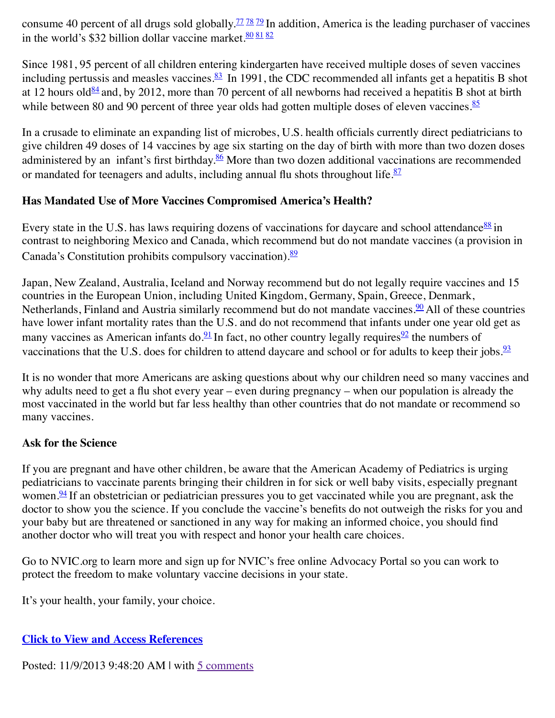consume 40 percent of all drugs sold globally.<sup>77 [78](http://www.nvic.org/NVIC-Vaccine-News/November-2013/Vaccination-During-Pregnancy--Is-It-Safe-.aspx#_edn78)</sup> [79](http://www.nvic.org/NVIC-Vaccine-News/November-2013/Vaccination-During-Pregnancy--Is-It-Safe-.aspx#_edn79) In addition, America is the leading purchaser of vaccines in the world's \$32 billion dollar vaccine market.  $\frac{808182}{ }$  $\frac{808182}{ }$  $\frac{808182}{ }$  $\frac{808182}{ }$  $\frac{808182}{ }$ 

Since 1981, 95 percent of all children entering kindergarten have received multiple doses of seven vaccines including pertussis and measles vaccines.<sup>83</sup> In 1991, the CDC recommended all infants get a hepatitis B shot at 12 hours old<sup>84</sup> and, by 2012, more than 70 percent of all newborns had received a hepatitis B shot at birth while between 80 and 90 percent of three year olds had gotten multiple doses of eleven vaccines. $\frac{85}{5}$  $\frac{85}{5}$  $\frac{85}{5}$ 

In a crusade to eliminate an expanding list of microbes, U.S. health officials currently direct pediatricians to give children 49 doses of 14 vaccines by age six starting on the day of birth with more than two dozen doses administered by an infant's first birthday.<sup>86</sup> More than two dozen additional vaccinations are recommended or mandated for teenagers and adults, including annual flu shots throughout life. $\frac{87}{2}$  $\frac{87}{2}$  $\frac{87}{2}$ 

## **Has Mandated Use of More Vaccines Compromised America's Health?**

Every state in the U.S. has laws requiring dozens of vaccinations for daycare and school attendance  $88 \text{ in}$ contrast to neighboring Mexico and Canada, which recommend but do not mandate vaccines (a provision in Canada's Constitution prohibits compulsory vaccination). $\frac{89}{ }$ 

Japan, New Zealand, Australia, Iceland and Norway recommend but do not legally require vaccines and 15 countries in the European Union, including United Kingdom, Germany, Spain, Greece, Denmark, Netherlands, Finland and Austria similarly recommend but do not mandate vaccines.<sup>90</sup> All of these countries have lower infant mortality rates than the U.S. and do not recommend that infants under one year old get as many vaccines as American infants do.<sup>91</sup> In fact, no other country legally requires  $\frac{92}{2}$  the numbers of vaccinations that the U.S. does for children to attend daycare and school or for adults to keep their jobs. $\frac{93}{2}$  $\frac{93}{2}$  $\frac{93}{2}$ 

It is no wonder that more Americans are asking questions about why our children need so many vaccines and why adults need to get a flu shot every year – even during pregnancy – when our population is already the most vaccinated in the world but far less healthy than other countries that do not mandate or recommend so many vaccines.

# **Ask for the Science**

If you are pregnant and have other children, be aware that the American Academy of Pediatrics is urging pediatricians to vaccinate parents bringing their children in for sick or well baby visits, especially pregnant women. $\frac{94}{9}$  If an obstetrician or pediatrician pressures you to get vaccinated while you are pregnant, ask the doctor to show you the science. If you conclude the vaccine's benefits do not outweigh the risks for you and your baby but are threatened or sanctioned in any way for making an informed choice, you should find another doctor who will treat you with respect and honor your health care choices.

Go to NVIC.org to learn more and sign up for NVIC's free online Advocacy Portal so you can work to protect the freedom to make voluntary vaccine decisions in your state.

It's your health, your family, your choice.

# **[Click to View and Access References](javascript:;)**

Posted: 11/9/2013 9:48:20 AM | with [5 comments](http://www.nvic.org/NVIC-Vaccine-News/November-2013/Vaccination-During-Pregnancy--Is-It-Safe-.aspx)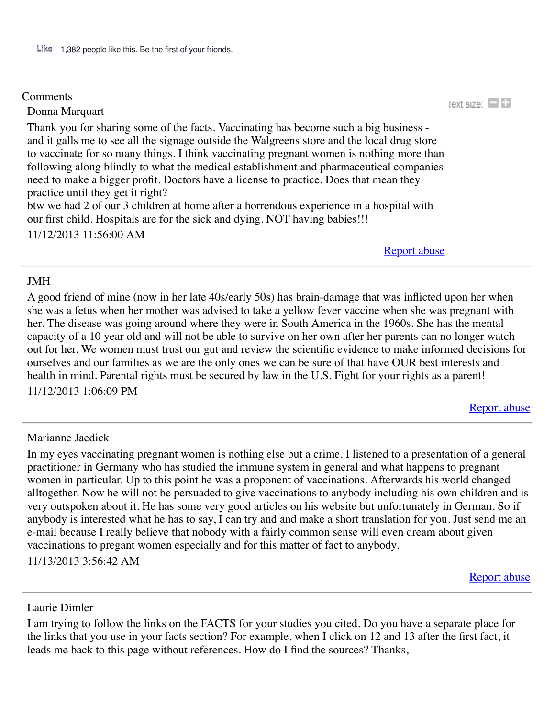#### **Comments**

Donna Marquart

Thank you for sharing some of the facts. Vaccinating has become such a big business and it galls me to see all the signage outside the Walgreens store and the local drug store to vaccinate for so many things. I think vaccinating pregnant women is nothing more than following along blindly to what the medical establishment and pharmaceutical companies need to make a bigger profit. Doctors have a license to practice. Does that mean they practice until they get it right? btw we had 2 of our 3 children at home after a horrendous experience in a hospital with our first child. Hospitals are for the sick and dying. NOT having babies!!!

11/12/2013 11:56:00 AM

[Report abuse](javascript:__doPostBack()

#### JMH

A good friend of mine (now in her late 40s/early 50s) has brain-damage that was inflicted upon her when she was a fetus when her mother was advised to take a yellow fever vaccine when she was pregnant with her. The disease was going around where they were in South America in the 1960s. She has the mental capacity of a 10 year old and will not be able to survive on her own after her parents can no longer watch out for her. We women must trust our gut and review the scientific evidence to make informed decisions for ourselves and our families as we are the only ones we can be sure of that have OUR best interests and health in mind. Parental rights must be secured by law in the U.S. Fight for your rights as a parent! 11/12/2013 1:06:09 PM

[Report abuse](javascript:__doPostBack()

#### Marianne Jaedick

In my eyes vaccinating pregnant women is nothing else but a crime. I listened to a presentation of a general practitioner in Germany who has studied the immune system in general and what happens to pregnant women in particular. Up to this point he was a proponent of vaccinations. Afterwards his world changed alltogether. Now he will not be persuaded to give vaccinations to anybody including his own children and is very outspoken about it. He has some very good articles on his website but unfortunately in German. So if anybody is interested what he has to say, I can try and and make a short translation for you. Just send me an e-mail because I really believe that nobody with a fairly common sense will even dream about given vaccinations to pregant women especially and for this matter of fact to anybody.

11/13/2013 3:56:42 AM

[Report abuse](javascript:__doPostBack()

Laurie Dimler

I am trying to follow the links on the FACTS for your studies you cited. Do you have a separate place for the links that you use in your facts section? For example, when I click on 12 and 13 after the first fact, it leads me back to this page without references. How do I find the sources? Thanks,

Text size:  $\Box$